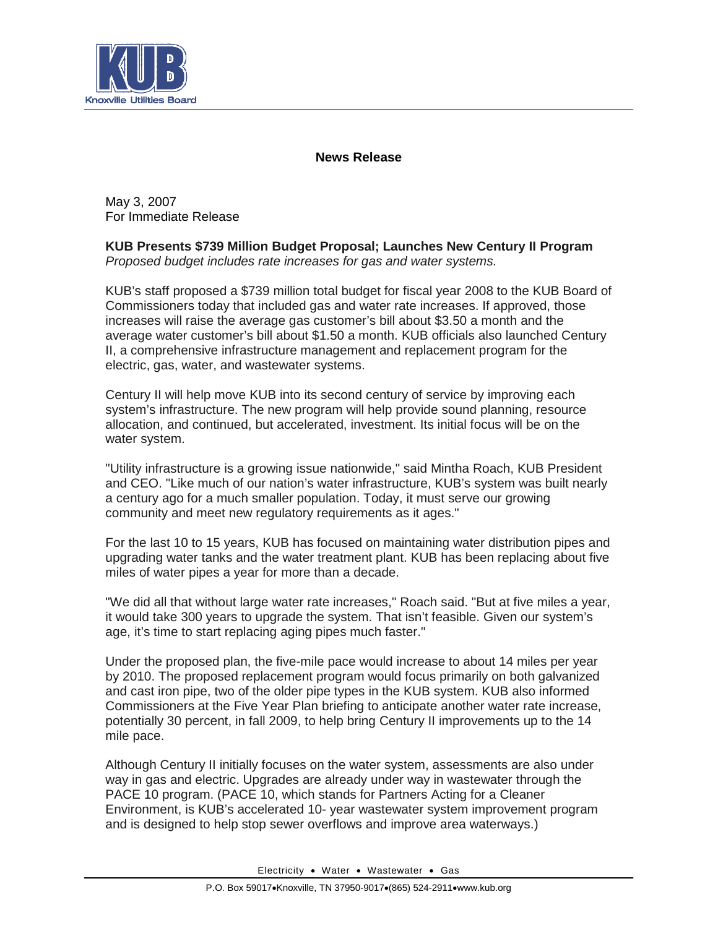

## **News Release**

May 3, 2007 For Immediate Release

**KUB Presents \$739 Million Budget Proposal; Launches New Century II Program** *Proposed budget includes rate increases for gas and water systems.*

KUB's staff proposed a \$739 million total budget for fiscal year 2008 to the KUB Board of Commissioners today that included gas and water rate increases. If approved, those increases will raise the average gas customer's bill about \$3.50 a month and the average water customer's bill about \$1.50 a month. KUB officials also launched Century II, a comprehensive infrastructure management and replacement program for the electric, gas, water, and wastewater systems.

Century II will help move KUB into its second century of service by improving each system's infrastructure. The new program will help provide sound planning, resource allocation, and continued, but accelerated, investment. Its initial focus will be on the water system.

"Utility infrastructure is a growing issue nationwide," said Mintha Roach, KUB President and CEO. "Like much of our nation's water infrastructure, KUB's system was built nearly a century ago for a much smaller population. Today, it must serve our growing community and meet new regulatory requirements as it ages."

For the last 10 to 15 years, KUB has focused on maintaining water distribution pipes and upgrading water tanks and the water treatment plant. KUB has been replacing about five miles of water pipes a year for more than a decade.

"We did all that without large water rate increases," Roach said. "But at five miles a year, it would take 300 years to upgrade the system. That isn't feasible. Given our system's age, it's time to start replacing aging pipes much faster."

Under the proposed plan, the five-mile pace would increase to about 14 miles per year by 2010. The proposed replacement program would focus primarily on both galvanized and cast iron pipe, two of the older pipe types in the KUB system. KUB also informed Commissioners at the Five Year Plan briefing to anticipate another water rate increase, potentially 30 percent, in fall 2009, to help bring Century II improvements up to the 14 mile pace.

Although Century II initially focuses on the water system, assessments are also under way in gas and electric. Upgrades are already under way in wastewater through the PACE 10 program. (PACE 10, which stands for Partners Acting for a Cleaner Environment, is KUB's accelerated 10- year wastewater system improvement program and is designed to help stop sewer overflows and improve area waterways.)

Electricity • Water • Wastewater • Gas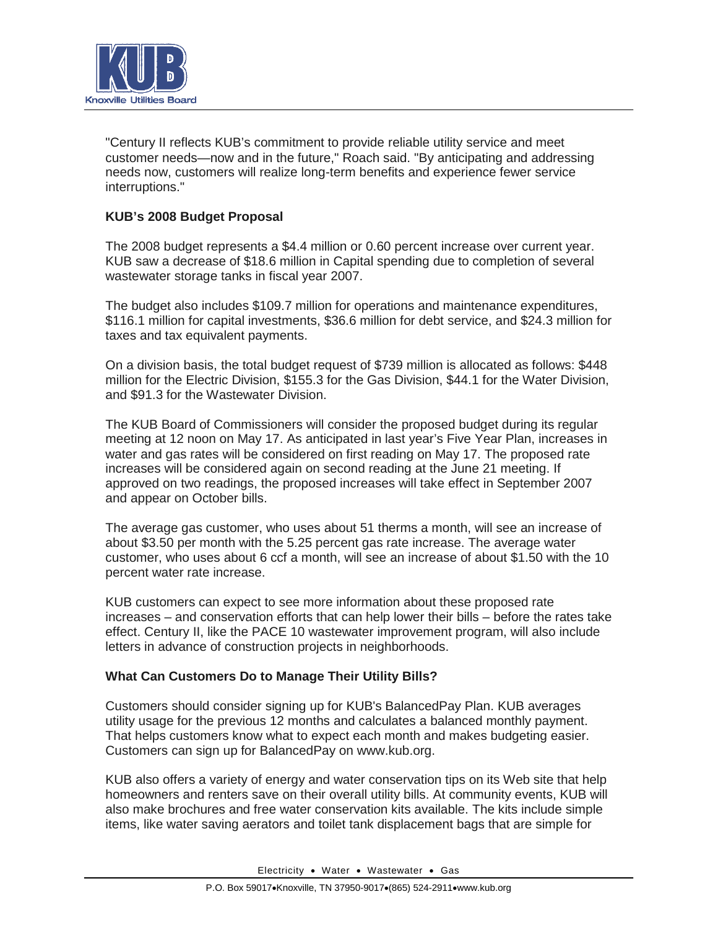

"Century II reflects KUB's commitment to provide reliable utility service and meet customer needs—now and in the future," Roach said. "By anticipating and addressing needs now, customers will realize long-term benefits and experience fewer service interruptions."

## **KUB's 2008 Budget Proposal**

The 2008 budget represents a \$4.4 million or 0.60 percent increase over current year. KUB saw a decrease of \$18.6 million in Capital spending due to completion of several wastewater storage tanks in fiscal year 2007.

The budget also includes \$109.7 million for operations and maintenance expenditures, \$116.1 million for capital investments, \$36.6 million for debt service, and \$24.3 million for taxes and tax equivalent payments.

On a division basis, the total budget request of \$739 million is allocated as follows: \$448 million for the Electric Division, \$155.3 for the Gas Division, \$44.1 for the Water Division, and \$91.3 for the Wastewater Division.

The KUB Board of Commissioners will consider the proposed budget during its regular meeting at 12 noon on May 17. As anticipated in last year's Five Year Plan, increases in water and gas rates will be considered on first reading on May 17. The proposed rate increases will be considered again on second reading at the June 21 meeting. If approved on two readings, the proposed increases will take effect in September 2007 and appear on October bills.

The average gas customer, who uses about 51 therms a month, will see an increase of about \$3.50 per month with the 5.25 percent gas rate increase. The average water customer, who uses about 6 ccf a month, will see an increase of about \$1.50 with the 10 percent water rate increase.

KUB customers can expect to see more information about these proposed rate increases – and conservation efforts that can help lower their bills – before the rates take effect. Century II, like the PACE 10 wastewater improvement program, will also include letters in advance of construction projects in neighborhoods.

## **What Can Customers Do to Manage Their Utility Bills?**

Customers should consider signing up for KUB's BalancedPay Plan. KUB averages utility usage for the previous 12 months and calculates a balanced monthly payment. That helps customers know what to expect each month and makes budgeting easier. Customers can sign up for BalancedPay on www.kub.org.

KUB also offers a variety of energy and water conservation tips on its Web site that help homeowners and renters save on their overall utility bills. At community events, KUB will also make brochures and free water conservation kits available. The kits include simple items, like water saving aerators and toilet tank displacement bags that are simple for

Electricity • Water • Wastewater • Gas